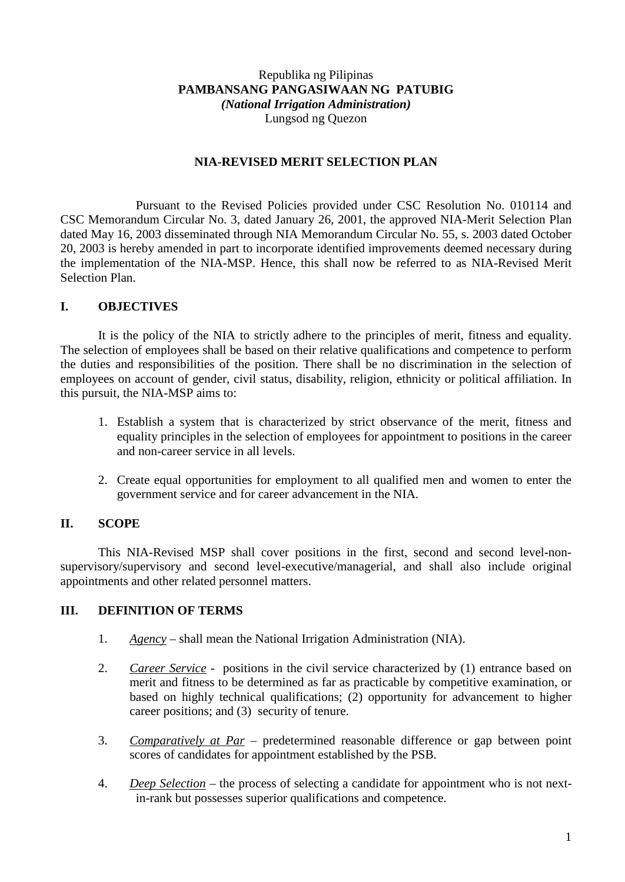## Republika ng Pilipinas **PAMBANSANG PANGASIWAAN NG PATUBIG** *(National Irrigation Administration)* Lungsod ng Quezon

## **NIA-REVISED MERIT SELECTION PLAN**

Pursuant to the Revised Policies provided under CSC Resolution No. 010114 and CSC Memorandum Circular No. 3, dated January 26, 2001, the approved NIA-Merit Selection Plan dated May 16, 2003 disseminated through NIA Memorandum Circular No. 55, s. 2003 dated October 20, 2003 is hereby amended in part to incorporate identified improvements deemed necessary during the implementation of the NIA-MSP. Hence, this shall now be referred to as NIA-Revised Merit Selection Plan.

## **I. OBJECTIVES**

It is the policy of the NIA to strictly adhere to the principles of merit, fitness and equality. The selection of employees shall be based on their relative qualifications and competence to perform the duties and responsibilities of the position. There shall be no discrimination in the selection of employees on account of gender, civil status, disability, religion, ethnicity or political affiliation. In this pursuit, the NIA-MSP aims to:

- 1. Establish a system that is characterized by strict observance of the merit, fitness and equality principles in the selection of employees for appointment to positions in the career and non-career service in all levels.
- 2. Create equal opportunities for employment to all qualified men and women to enter the government service and for career advancement in the NIA.

## **II. SCOPE**

This NIA-Revised MSP shall cover positions in the first, second and second level-nonsupervisory/supervisory and second level-executive/managerial, and shall also include original appointments and other related personnel matters.

#### **III. DEFINITION OF TERMS**

- 1. *Agency* shall mean the National Irrigation Administration (NIA).
- 2. *Career Service* positions in the civil service characterized by (1) entrance based on merit and fitness to be determined as far as practicable by competitive examination, or based on highly technical qualifications; (2) opportunity for advancement to higher career positions; and (3) security of tenure.
- 3. *Comparatively at Par* predetermined reasonable difference or gap between point scores of candidates for appointment established by the PSB.
- 4. *Deep Selection* the process of selecting a candidate for appointment who is not nextin-rank but possesses superior qualifications and competence.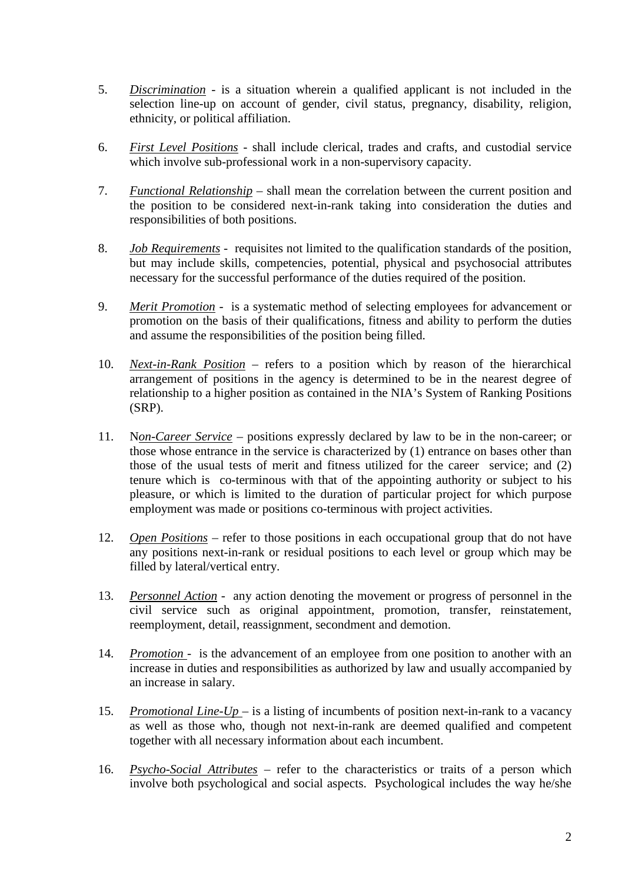- 5. *Discrimination* is a situation wherein a qualified applicant is not included in the selection line-up on account of gender, civil status, pregnancy, disability, religion, ethnicity, or political affiliation.
- 6. *First Level Positions* shall include clerical, trades and crafts, and custodial service which involve sub-professional work in a non-supervisory capacity.
- 7. *Functional Relationship* shall mean the correlation between the current position and the position to be considered next-in-rank taking into consideration the duties and responsibilities of both positions.
- 8. *Job Requirements* requisites not limited to the qualification standards of the position, but may include skills, competencies, potential, physical and psychosocial attributes necessary for the successful performance of the duties required of the position.
- 9. *Merit Promotion* is a systematic method of selecting employees for advancement or promotion on the basis of their qualifications, fitness and ability to perform the duties and assume the responsibilities of the position being filled.
- 10. *Next-in-Rank Position* refers to a position which by reason of the hierarchical arrangement of positions in the agency is determined to be in the nearest degree of relationship to a higher position as contained in the NIA's System of Ranking Positions (SRP).
- 11. N*on-Career Service* positions expressly declared by law to be in the non-career; or those whose entrance in the service is characterized by (1) entrance on bases other than those of the usual tests of merit and fitness utilized for the career service; and (2) tenure which is co-terminous with that of the appointing authority or subject to his pleasure, or which is limited to the duration of particular project for which purpose employment was made or positions co-terminous with project activities.
- 12. *Open Positions* refer to those positions in each occupational group that do not have any positions next-in-rank or residual positions to each level or group which may be filled by lateral/vertical entry.
- 13. *Personnel Action* any action denoting the movement or progress of personnel in the civil service such as original appointment, promotion, transfer, reinstatement, reemployment, detail, reassignment, secondment and demotion.
- 14. *Promotion*  is the advancement of an employee from one position to another with an increase in duties and responsibilities as authorized by law and usually accompanied by an increase in salary.
- 15. *Promotional Line-Up*  is a listing of incumbents of position next-in-rank to a vacancy as well as those who, though not next-in-rank are deemed qualified and competent together with all necessary information about each incumbent.
- 16. *Psycho-Social Attributes* refer to the characteristics or traits of a person which involve both psychological and social aspects. Psychological includes the way he/she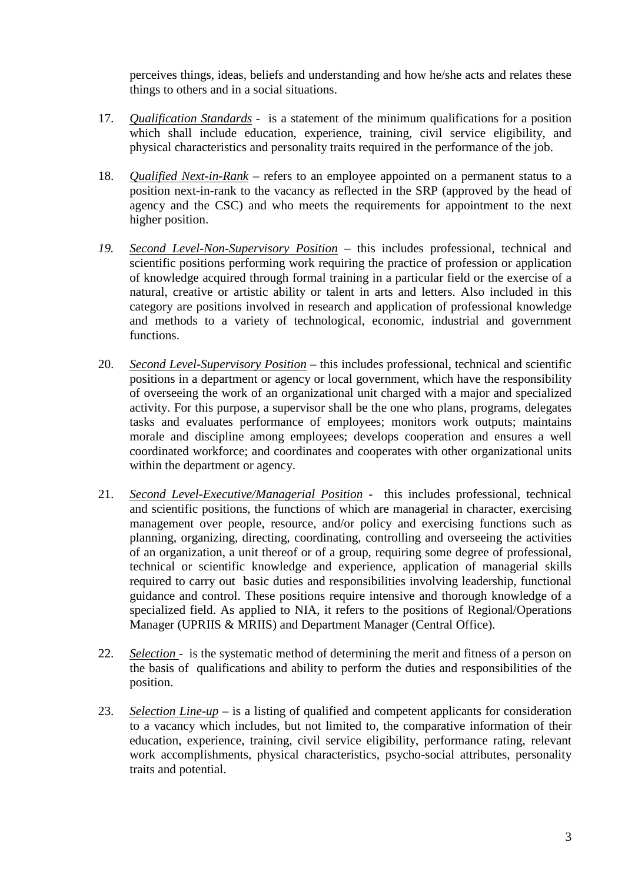perceives things, ideas, beliefs and understanding and how he/she acts and relates these things to others and in a social situations.

- 17. *Qualification Standards* is a statement of the minimum qualifications for a position which shall include education, experience, training, civil service eligibility, and physical characteristics and personality traits required in the performance of the job.
- 18. *Qualified Next-in-Rank* refers to an employee appointed on a permanent status to a position next-in-rank to the vacancy as reflected in the SRP (approved by the head of agency and the CSC) and who meets the requirements for appointment to the next higher position.
- *19. Second Level-Non-Supervisory Position* this includes professional, technical and scientific positions performing work requiring the practice of profession or application of knowledge acquired through formal training in a particular field or the exercise of a natural, creative or artistic ability or talent in arts and letters. Also included in this category are positions involved in research and application of professional knowledge and methods to a variety of technological, economic, industrial and government functions.
- 20. *Second Level-Supervisory Position* this includes professional, technical and scientific positions in a department or agency or local government, which have the responsibility of overseeing the work of an organizational unit charged with a major and specialized activity. For this purpose, a supervisor shall be the one who plans, programs, delegates tasks and evaluates performance of employees; monitors work outputs; maintains morale and discipline among employees; develops cooperation and ensures a well coordinated workforce; and coordinates and cooperates with other organizational units within the department or agency.
- 21. *Second Level-Executive/Managerial Position* this includes professional, technical and scientific positions, the functions of which are managerial in character, exercising management over people, resource, and/or policy and exercising functions such as planning, organizing, directing, coordinating, controlling and overseeing the activities of an organization, a unit thereof or of a group, requiring some degree of professional, technical or scientific knowledge and experience, application of managerial skills required to carry out basic duties and responsibilities involving leadership, functional guidance and control. These positions require intensive and thorough knowledge of a specialized field. As applied to NIA, it refers to the positions of Regional/Operations Manager (UPRIIS & MRIIS) and Department Manager (Central Office).
- 22. *Selection*  is the systematic method of determining the merit and fitness of a person on the basis of qualifications and ability to perform the duties and responsibilities of the position.
- 23. *Selection Line-up* is a listing of qualified and competent applicants for consideration to a vacancy which includes, but not limited to, the comparative information of their education, experience, training, civil service eligibility, performance rating, relevant work accomplishments, physical characteristics, psycho-social attributes, personality traits and potential.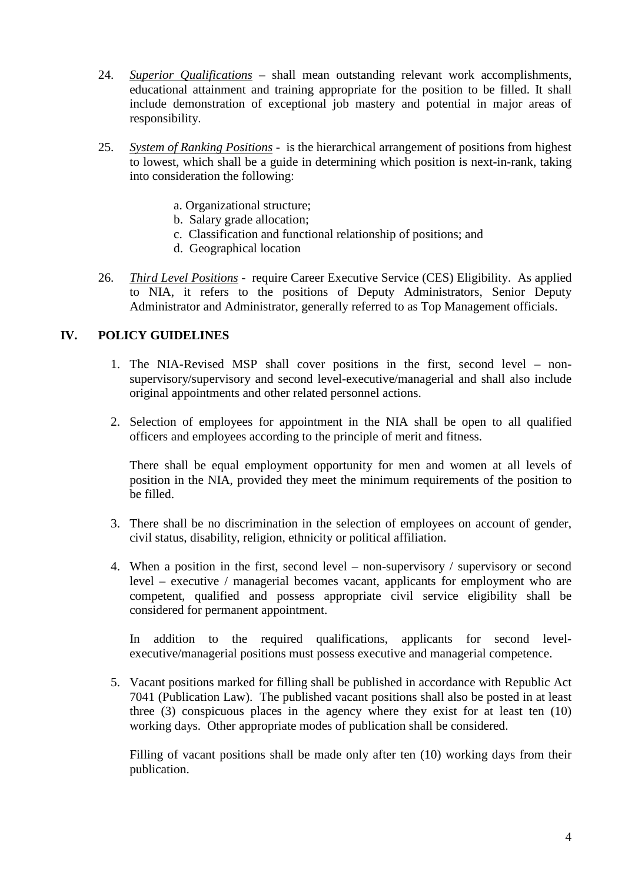- 24. *Superior Qualifications* shall mean outstanding relevant work accomplishments, educational attainment and training appropriate for the position to be filled. It shall include demonstration of exceptional job mastery and potential in major areas of responsibility.
- 25. *System of Ranking Positions* is the hierarchical arrangement of positions from highest to lowest, which shall be a guide in determining which position is next-in-rank, taking into consideration the following:
	- a. Organizational structure;
	- b. Salary grade allocation;
	- c. Classification and functional relationship of positions; and
	- d. Geographical location
- 26. *Third Level Positions* require Career Executive Service (CES) Eligibility. As applied to NIA, it refers to the positions of Deputy Administrators, Senior Deputy Administrator and Administrator, generally referred to as Top Management officials.

### **IV. POLICY GUIDELINES**

- 1. The NIA-Revised MSP shall cover positions in the first, second level nonsupervisory/supervisory and second level-executive/managerial and shall also include original appointments and other related personnel actions.
- 2. Selection of employees for appointment in the NIA shall be open to all qualified officers and employees according to the principle of merit and fitness.

There shall be equal employment opportunity for men and women at all levels of position in the NIA, provided they meet the minimum requirements of the position to be filled.

- 3. There shall be no discrimination in the selection of employees on account of gender, civil status, disability, religion, ethnicity or political affiliation.
- 4. When a position in the first, second level non-supervisory / supervisory or second level – executive / managerial becomes vacant, applicants for employment who are competent, qualified and possess appropriate civil service eligibility shall be considered for permanent appointment.

In addition to the required qualifications, applicants for second levelexecutive/managerial positions must possess executive and managerial competence.

5. Vacant positions marked for filling shall be published in accordance with Republic Act 7041 (Publication Law). The published vacant positions shall also be posted in at least three (3) conspicuous places in the agency where they exist for at least ten (10) working days. Other appropriate modes of publication shall be considered.

Filling of vacant positions shall be made only after ten (10) working days from their publication.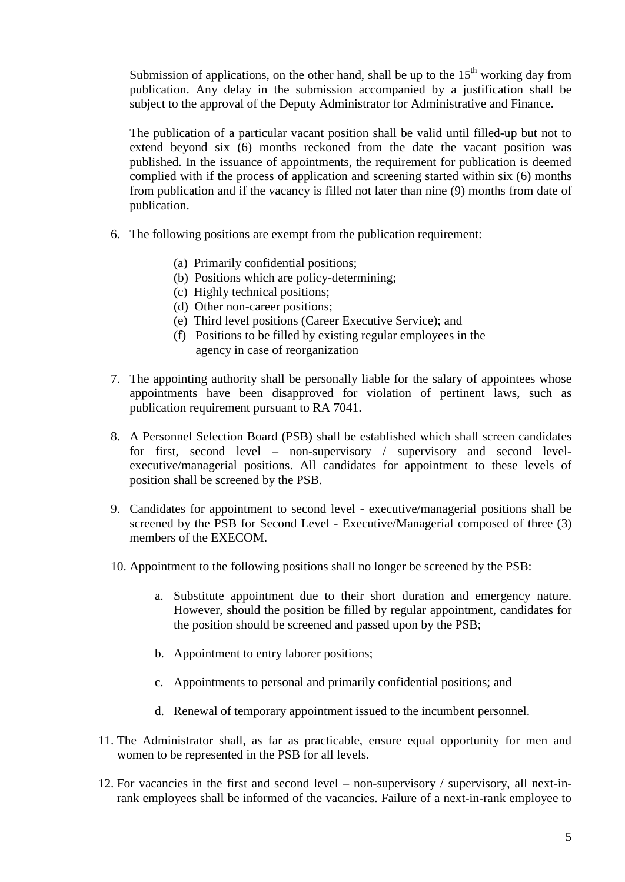Submission of applications, on the other hand, shall be up to the  $15<sup>th</sup>$  working day from publication. Any delay in the submission accompanied by a justification shall be subject to the approval of the Deputy Administrator for Administrative and Finance.

The publication of a particular vacant position shall be valid until filled-up but not to extend beyond six (6) months reckoned from the date the vacant position was published. In the issuance of appointments, the requirement for publication is deemed complied with if the process of application and screening started within six (6) months from publication and if the vacancy is filled not later than nine (9) months from date of publication.

- 6. The following positions are exempt from the publication requirement:
	- (a) Primarily confidential positions;
	- (b) Positions which are policy-determining;
	- (c) Highly technical positions;
	- (d) Other non-career positions;
	- (e) Third level positions (Career Executive Service); and
	- (f) Positions to be filled by existing regular employees in the agency in case of reorganization
- 7. The appointing authority shall be personally liable for the salary of appointees whose appointments have been disapproved for violation of pertinent laws, such as publication requirement pursuant to RA 7041.
- 8. A Personnel Selection Board (PSB) shall be established which shall screen candidates for first, second level – non-supervisory / supervisory and second levelexecutive/managerial positions. All candidates for appointment to these levels of position shall be screened by the PSB.
- 9. Candidates for appointment to second level executive/managerial positions shall be screened by the PSB for Second Level - Executive/Managerial composed of three (3) members of the EXECOM.
- 10. Appointment to the following positions shall no longer be screened by the PSB:
	- a. Substitute appointment due to their short duration and emergency nature. However, should the position be filled by regular appointment, candidates for the position should be screened and passed upon by the PSB;
	- b. Appointment to entry laborer positions;
	- c. Appointments to personal and primarily confidential positions; and
	- d. Renewal of temporary appointment issued to the incumbent personnel.
- 11. The Administrator shall, as far as practicable, ensure equal opportunity for men and women to be represented in the PSB for all levels.
- 12. For vacancies in the first and second level non-supervisory / supervisory, all next-inrank employees shall be informed of the vacancies. Failure of a next-in-rank employee to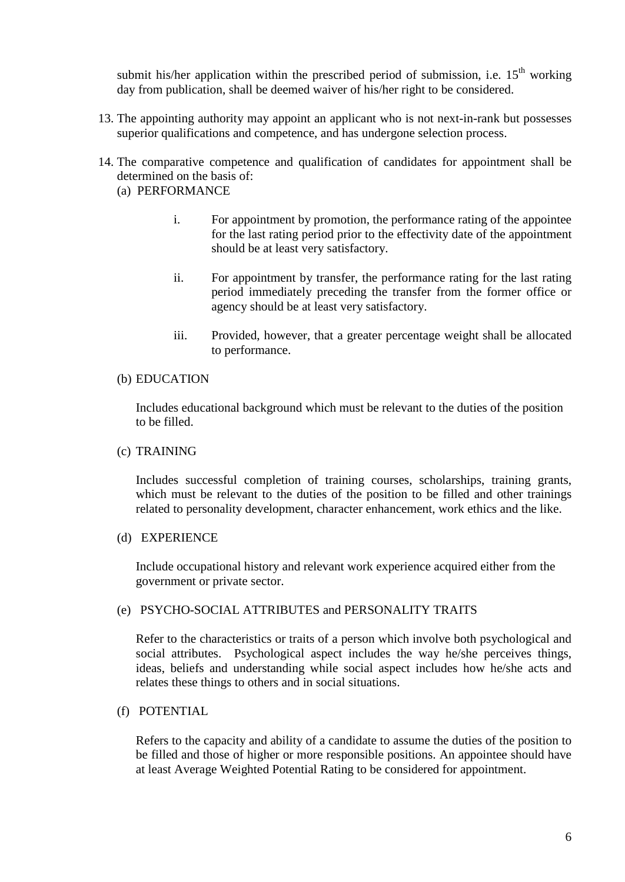submit his/her application within the prescribed period of submission, i.e.  $15<sup>th</sup>$  working day from publication, shall be deemed waiver of his/her right to be considered.

- 13. The appointing authority may appoint an applicant who is not next-in-rank but possesses superior qualifications and competence, and has undergone selection process.
- 14. The comparative competence and qualification of candidates for appointment shall be determined on the basis of:
	- (a) PERFORMANCE
		- i. For appointment by promotion, the performance rating of the appointee for the last rating period prior to the effectivity date of the appointment should be at least very satisfactory.
		- ii. For appointment by transfer, the performance rating for the last rating period immediately preceding the transfer from the former office or agency should be at least very satisfactory.
		- iii. Provided, however, that a greater percentage weight shall be allocated to performance.

#### (b) EDUCATION

Includes educational background which must be relevant to the duties of the position to be filled.

#### (c) TRAINING

Includes successful completion of training courses, scholarships, training grants, which must be relevant to the duties of the position to be filled and other trainings related to personality development, character enhancement, work ethics and the like.

#### (d) EXPERIENCE

Include occupational history and relevant work experience acquired either from the government or private sector.

#### (e) PSYCHO-SOCIAL ATTRIBUTES and PERSONALITY TRAITS

Refer to the characteristics or traits of a person which involve both psychological and social attributes. Psychological aspect includes the way he/she perceives things, ideas, beliefs and understanding while social aspect includes how he/she acts and relates these things to others and in social situations.

## (f) POTENTIAL

Refers to the capacity and ability of a candidate to assume the duties of the position to be filled and those of higher or more responsible positions. An appointee should have at least Average Weighted Potential Rating to be considered for appointment.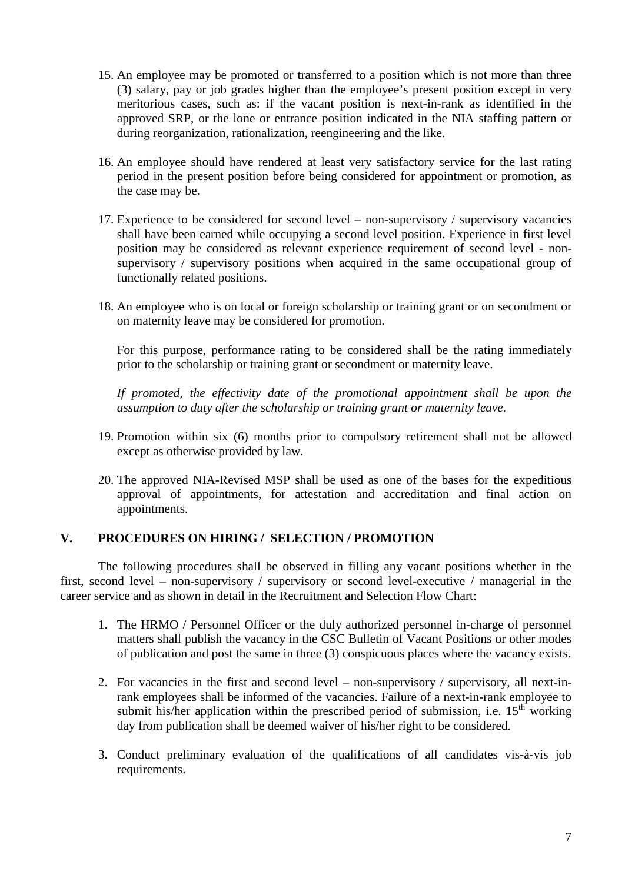- 15. An employee may be promoted or transferred to a position which is not more than three (3) salary, pay or job grades higher than the employee's present position except in very meritorious cases, such as: if the vacant position is next-in-rank as identified in the approved SRP, or the lone or entrance position indicated in the NIA staffing pattern or during reorganization, rationalization, reengineering and the like.
- 16. An employee should have rendered at least very satisfactory service for the last rating period in the present position before being considered for appointment or promotion, as the case may be.
- 17. Experience to be considered for second level non-supervisory / supervisory vacancies shall have been earned while occupying a second level position. Experience in first level position may be considered as relevant experience requirement of second level - nonsupervisory / supervisory positions when acquired in the same occupational group of functionally related positions.
- 18. An employee who is on local or foreign scholarship or training grant or on secondment or on maternity leave may be considered for promotion.

For this purpose, performance rating to be considered shall be the rating immediately prior to the scholarship or training grant or secondment or maternity leave.

If promoted, the effectivity date of the promotional appointment shall be upon the *assumption to duty after the scholarship or training grant or maternity leave.*

- 19. Promotion within six (6) months prior to compulsory retirement shall not be allowed except as otherwise provided by law.
- 20. The approved NIA-Revised MSP shall be used as one of the bases for the expeditious approval of appointments, for attestation and accreditation and final action on appointments.

### **V. PROCEDURES ON HIRING / SELECTION / PROMOTION**

The following procedures shall be observed in filling any vacant positions whether in the first, second level – non-supervisory / supervisory or second level-executive / managerial in the career service and as shown in detail in the Recruitment and Selection Flow Chart:

- 1. The HRMO / Personnel Officer or the duly authorized personnel in-charge of personnel matters shall publish the vacancy in the CSC Bulletin of Vacant Positions or other modes of publication and post the same in three (3) conspicuous places where the vacancy exists.
- 2. For vacancies in the first and second level non-supervisory / supervisory, all next-inrank employees shall be informed of the vacancies. Failure of a next-in-rank employee to submit his/her application within the prescribed period of submission, i.e.  $15<sup>th</sup>$  working day from publication shall be deemed waiver of his/her right to be considered.
- 3. Conduct preliminary evaluation of the qualifications of all candidates vis-à-vis job requirements.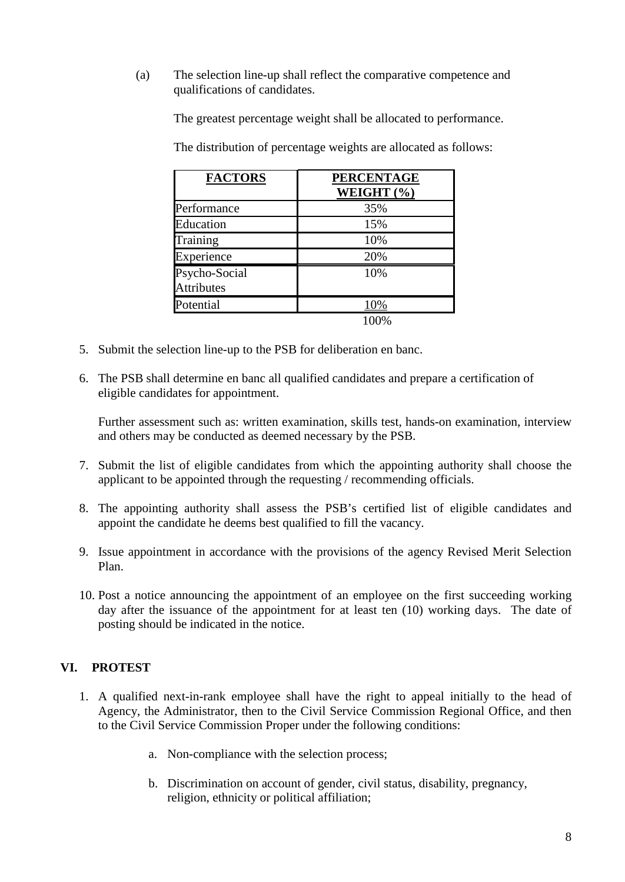(a) The selection line-up shall reflect the comparative competence and qualifications of candidates.

The greatest percentage weight shall be allocated to performance.

The distribution of percentage weights are allocated as follows:

| <b>FACTORS</b>                     | <b>PERCENTAGE</b><br>WEIGHT (%) |
|------------------------------------|---------------------------------|
| Performance                        | 35%                             |
| Education                          | 15%                             |
| Training                           | 10%                             |
| Experience                         | 20%                             |
| Psycho-Social<br><b>Attributes</b> | 10%                             |
| Potential                          | 10%                             |
|                                    |                                 |

- 5. Submit the selection line-up to the PSB for deliberation en banc.
- 6. The PSB shall determine en banc all qualified candidates and prepare a certification of eligible candidates for appointment.

Further assessment such as: written examination, skills test, hands-on examination, interview and others may be conducted as deemed necessary by the PSB.

- 7. Submit the list of eligible candidates from which the appointing authority shall choose the applicant to be appointed through the requesting / recommending officials.
- 8. The appointing authority shall assess the PSB's certified list of eligible candidates and appoint the candidate he deems best qualified to fill the vacancy.
- 9. Issue appointment in accordance with the provisions of the agency Revised Merit Selection Plan.
- 10. Post a notice announcing the appointment of an employee on the first succeeding working day after the issuance of the appointment for at least ten (10) working days. The date of posting should be indicated in the notice.

# **VI. PROTEST**

- 1. A qualified next-in-rank employee shall have the right to appeal initially to the head of Agency, the Administrator, then to the Civil Service Commission Regional Office, and then to the Civil Service Commission Proper under the following conditions:
	- a. Non-compliance with the selection process;
	- b. Discrimination on account of gender, civil status, disability, pregnancy, religion, ethnicity or political affiliation;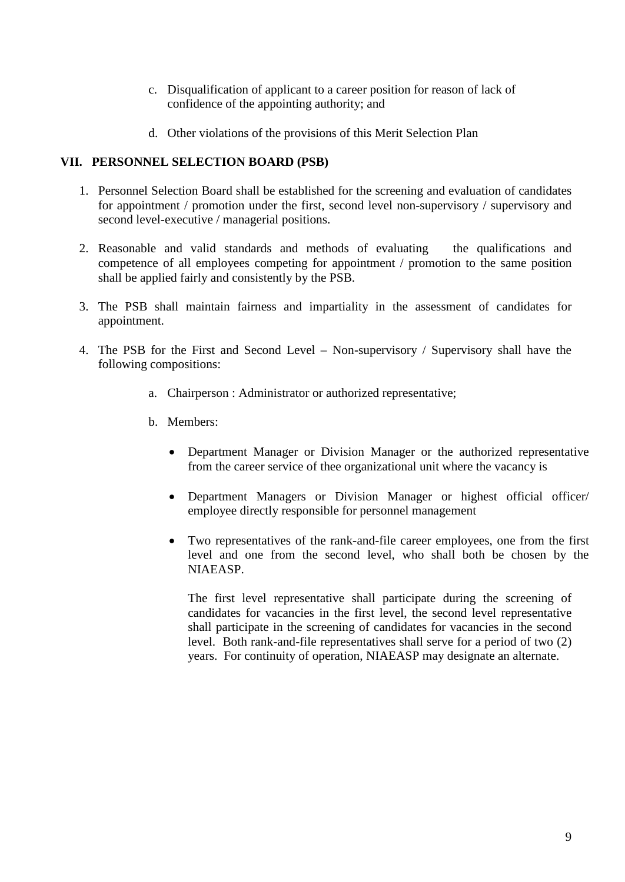- c. Disqualification of applicant to a career position for reason of lack of confidence of the appointing authority; and
- d. Other violations of the provisions of this Merit Selection Plan

## **VII. PERSONNEL SELECTION BOARD (PSB)**

- 1. Personnel Selection Board shall be established for the screening and evaluation of candidates for appointment / promotion under the first, second level non-supervisory / supervisory and second level-executive / managerial positions.
- 2. Reasonable and valid standards and methods of evaluating the qualifications and competence of all employees competing for appointment / promotion to the same position shall be applied fairly and consistently by the PSB.
- 3. The PSB shall maintain fairness and impartiality in the assessment of candidates for appointment.
- 4. The PSB for the First and Second Level Non-supervisory / Supervisory shall have the following compositions:
	- a. Chairperson : Administrator or authorized representative;
	- b. Members:
		- Department Manager or Division Manager or the authorized representative from the career service of thee organizational unit where the vacancy is
		- Department Managers or Division Manager or highest official officer/ employee directly responsible for personnel management
		- Two representatives of the rank-and-file career employees, one from the first level and one from the second level, who shall both be chosen by the NIAEASP.

The first level representative shall participate during the screening of candidates for vacancies in the first level, the second level representative shall participate in the screening of candidates for vacancies in the second level. Both rank-and-file representatives shall serve for a period of two (2) years. For continuity of operation, NIAEASP may designate an alternate.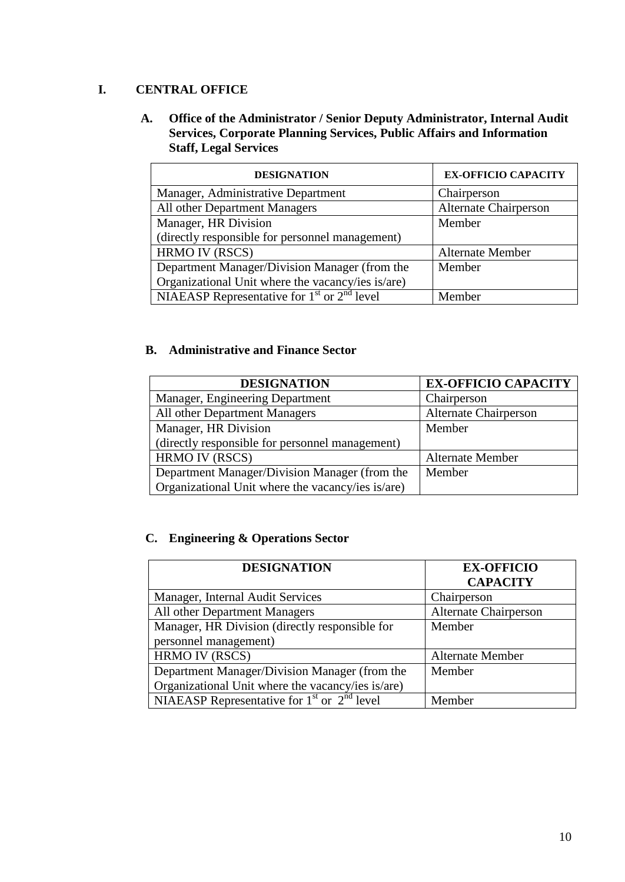## **I. CENTRAL OFFICE**

**A. Office of the Administrator / Senior Deputy Administrator, Internal Audit Services, Corporate Planning Services, Public Affairs and Information Staff, Legal Services**

| <b>DESIGNATION</b>                                | <b>EX-OFFICIO CAPACITY</b>   |  |
|---------------------------------------------------|------------------------------|--|
| Manager, Administrative Department                | Chairperson                  |  |
| All other Department Managers                     | <b>Alternate Chairperson</b> |  |
| Manager, HR Division                              | Member                       |  |
| (directly responsible for personnel management)   |                              |  |
| HRMO IV (RSCS)                                    | <b>Alternate Member</b>      |  |
| Department Manager/Division Manager (from the     | Member                       |  |
| Organizational Unit where the vacancy/ies is/are) |                              |  |
| NIAEASP Representative for $1st$ or $2nd$ level   | Member                       |  |

## **B. Administrative and Finance Sector**

| <b>DESIGNATION</b>                                | <b>EX-OFFICIO CAPACITY</b>   |
|---------------------------------------------------|------------------------------|
| Manager, Engineering Department                   | Chairperson                  |
| All other Department Managers                     | <b>Alternate Chairperson</b> |
| Manager, HR Division                              | Member                       |
| (directly responsible for personnel management)   |                              |
| <b>HRMO IV (RSCS)</b>                             | <b>Alternate Member</b>      |
| Department Manager/Division Manager (from the     | Member                       |
| Organizational Unit where the vacancy/ies is/are) |                              |

# **C. Engineering & Operations Sector**

| <b>DESIGNATION</b>                                | <b>EX-OFFICIO</b>            |  |
|---------------------------------------------------|------------------------------|--|
|                                                   | <b>CAPACITY</b>              |  |
| Manager, Internal Audit Services                  | Chairperson                  |  |
| All other Department Managers                     | <b>Alternate Chairperson</b> |  |
| Manager, HR Division (directly responsible for    | Member                       |  |
| personnel management)                             |                              |  |
| HRMO IV (RSCS)                                    | <b>Alternate Member</b>      |  |
| Department Manager/Division Manager (from the     | Member                       |  |
| Organizational Unit where the vacancy/ies is/are) |                              |  |
| NIAEASP Representative for $1st$ or $2nd$ level   | Member                       |  |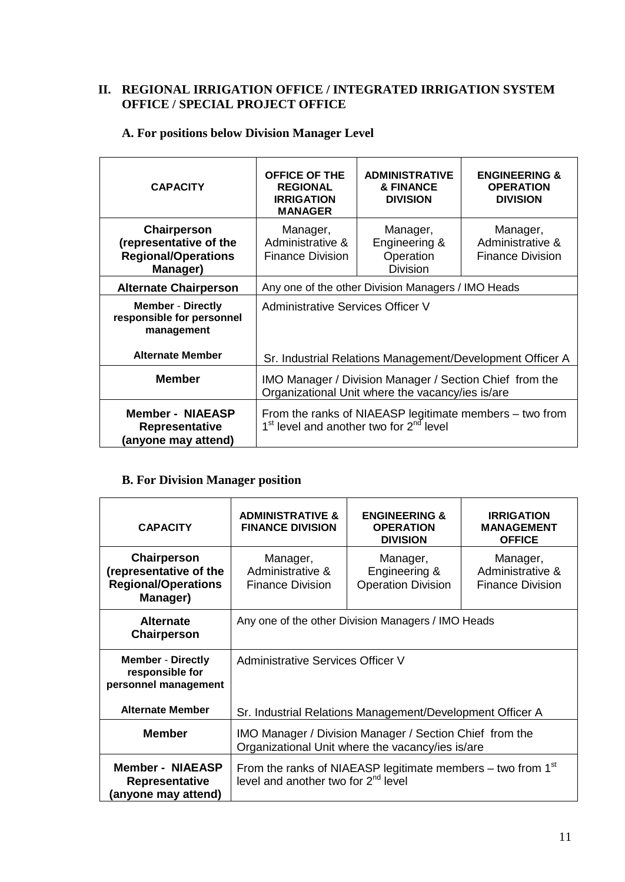## **II. REGIONAL IRRIGATION OFFICE / INTEGRATED IRRIGATION SYSTEM OFFICE / SPECIAL PROJECT OFFICE**

| <b>CAPACITY</b>                                                                 | <b>OFFICE OF THE</b><br><b>REGIONAL</b><br><b>IRRIGATION</b><br><b>MANAGER</b>                                             | <b>ADMINISTRATIVE</b><br><b>&amp; FINANCE</b><br><b>DIVISION</b> | <b>ENGINEERING &amp;</b><br><b>OPERATION</b><br><b>DIVISION</b> |
|---------------------------------------------------------------------------------|----------------------------------------------------------------------------------------------------------------------------|------------------------------------------------------------------|-----------------------------------------------------------------|
| Chairperson<br>(representative of the<br><b>Regional/Operations</b><br>Manager) | Manager,<br>Administrative &<br><b>Finance Division</b>                                                                    | Manager,<br>Engineering &<br>Operation<br><b>Division</b>        | Manager,<br>Administrative &<br><b>Finance Division</b>         |
| <b>Alternate Chairperson</b>                                                    | Any one of the other Division Managers / IMO Heads                                                                         |                                                                  |                                                                 |
| <b>Member - Directly</b><br>responsible for personnel<br>management             | Administrative Services Officer V                                                                                          |                                                                  |                                                                 |
| <b>Alternate Member</b>                                                         | Sr. Industrial Relations Management/Development Officer A                                                                  |                                                                  |                                                                 |
| <b>Member</b>                                                                   | IMO Manager / Division Manager / Section Chief from the<br>Organizational Unit where the vacancy/ies is/are                |                                                                  |                                                                 |
| <b>Member - NIAEASP</b><br><b>Representative</b><br>(anyone may attend)         | From the ranks of NIAEASP legitimate members – two from<br>1 <sup>st</sup> level and another two for 2 <sup>nd</sup> level |                                                                  |                                                                 |

## **A. For positions below Division Manager Level**

 $\overline{a}$ 

# **B. For Division Manager position**

| <b>CAPACITY</b>                                                                 | <b>ADMINISTRATIVE &amp;</b><br><b>FINANCE DIVISION</b>                                                           | <b>ENGINEERING &amp;</b><br><b>OPERATION</b><br><b>DIVISION</b> | <b>IRRIGATION</b><br><b>MANAGEMENT</b><br><b>OFFICE</b> |
|---------------------------------------------------------------------------------|------------------------------------------------------------------------------------------------------------------|-----------------------------------------------------------------|---------------------------------------------------------|
| Chairperson<br>(representative of the<br><b>Regional/Operations</b><br>Manager) | Manager,<br>Administrative &<br><b>Finance Division</b>                                                          | Manager,<br>Engineering &<br><b>Operation Division</b>          | Manager,<br>Administrative &<br><b>Finance Division</b> |
| <b>Alternate</b><br>Chairperson                                                 | Any one of the other Division Managers / IMO Heads                                                               |                                                                 |                                                         |
| <b>Member - Directly</b><br>responsible for<br>personnel management             | Administrative Services Officer V                                                                                |                                                                 |                                                         |
| <b>Alternate Member</b>                                                         | Sr. Industrial Relations Management/Development Officer A                                                        |                                                                 |                                                         |
| <b>Member</b>                                                                   | IMO Manager / Division Manager / Section Chief from the<br>Organizational Unit where the vacancy/ies is/are      |                                                                 |                                                         |
| <b>Member - NIAEASP</b><br><b>Representative</b><br>(anyone may attend)         | From the ranks of NIAEASP legitimate members – two from $1st$<br>level and another two for 2 <sup>nd</sup> level |                                                                 |                                                         |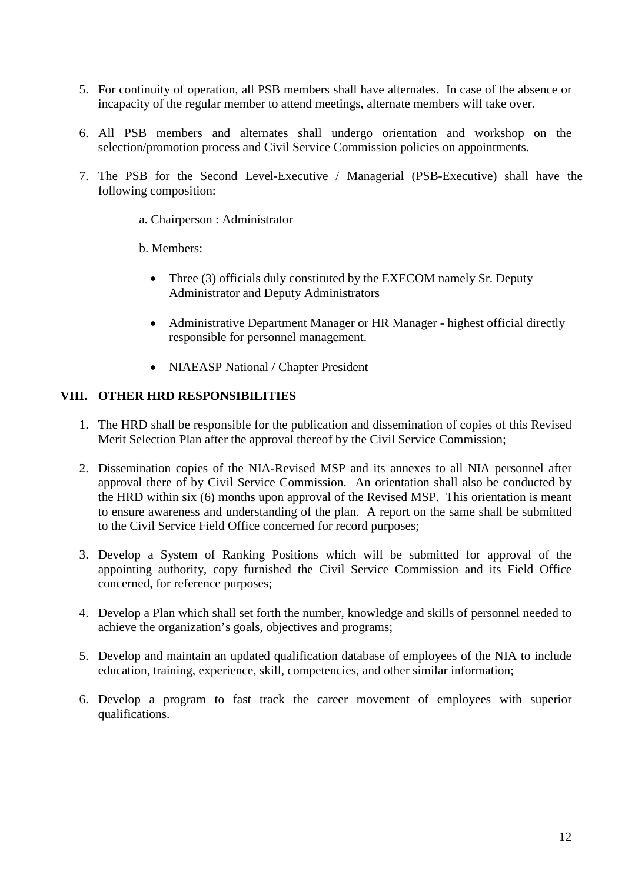- 5. For continuity of operation, all PSB members shall have alternates. In case of the absence or incapacity of the regular member to attend meetings, alternate members will take over.
- 6. All PSB members and alternates shall undergo orientation and workshop on the selection/promotion process and Civil Service Commission policies on appointments.
- 7. The PSB for the Second Level-Executive / Managerial (PSB-Executive) shall have the following composition:
	- a. Chairperson : Administrator
	- b. Members:
		- Three (3) officials duly constituted by the EXECOM namely Sr. Deputy Administrator and Deputy Administrators
		- Administrative Department Manager or HR Manager highest official directly responsible for personnel management.
		- NIAEASP National / Chapter President

### **VIII. OTHER HRD RESPONSIBILITIES**

- 1. The HRD shall be responsible for the publication and dissemination of copies of this Revised Merit Selection Plan after the approval thereof by the Civil Service Commission;
- 2. Dissemination copies of the NIA-Revised MSP and its annexes to all NIA personnel after approval there of by Civil Service Commission. An orientation shall also be conducted by the HRD within six (6) months upon approval of the Revised MSP. This orientation is meant to ensure awareness and understanding of the plan. A report on the same shall be submitted to the Civil Service Field Office concerned for record purposes;
- 3. Develop a System of Ranking Positions which will be submitted for approval of the appointing authority, copy furnished the Civil Service Commission and its Field Office concerned, for reference purposes;
- 4. Develop a Plan which shall set forth the number, knowledge and skills of personnel needed to achieve the organization's goals, objectives and programs;
- 5. Develop and maintain an updated qualification database of employees of the NIA to include education, training, experience, skill, competencies, and other similar information;
- 6. Develop a program to fast track the career movement of employees with superior qualifications.